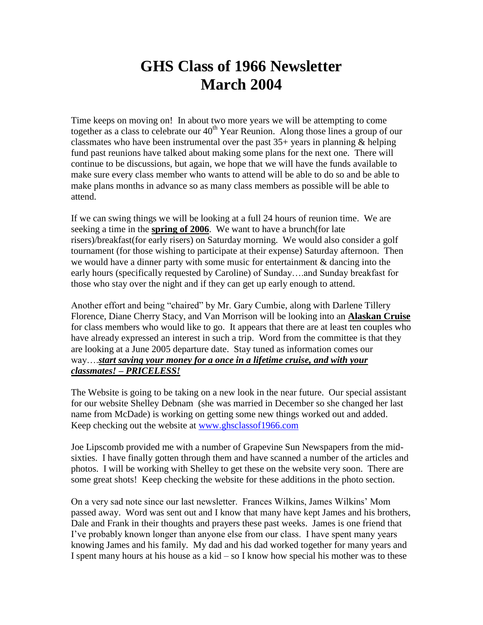## **GHS Class of 1966 Newsletter March 2004**

Time keeps on moving on! In about two more years we will be attempting to come together as a class to celebrate our  $40<sup>th</sup>$  Year Reunion. Along those lines a group of our classmates who have been instrumental over the past  $35+$  years in planning  $\&$  helping fund past reunions have talked about making some plans for the next one. There will continue to be discussions, but again, we hope that we will have the funds available to make sure every class member who wants to attend will be able to do so and be able to make plans months in advance so as many class members as possible will be able to attend.

If we can swing things we will be looking at a full 24 hours of reunion time. We are seeking a time in the **spring of 2006**. We want to have a brunch(for late risers)/breakfast(for early risers) on Saturday morning. We would also consider a golf tournament (for those wishing to participate at their expense) Saturday afternoon. Then we would have a dinner party with some music for entertainment & dancing into the early hours (specifically requested by Caroline) of Sunday….and Sunday breakfast for those who stay over the night and if they can get up early enough to attend.

Another effort and being "chaired" by Mr. Gary Cumbie, along with Darlene Tillery Florence, Diane Cherry Stacy, and Van Morrison will be looking into an **Alaskan Cruise** for class members who would like to go. It appears that there are at least ten couples who have already expressed an interest in such a trip. Word from the committee is that they are looking at a June 2005 departure date. Stay tuned as information comes our way….*start saving your money for a once in a lifetime cruise, and with your classmates! – PRICELESS!*

The Website is going to be taking on a new look in the near future. Our special assistant for our website Shelley Debnam (she was married in December so she changed her last name from McDade) is working on getting some new things worked out and added. Keep checking out the website at [www.ghsclassof1966.com](http://www.ghsclassof1966.com/)

Joe Lipscomb provided me with a number of Grapevine Sun Newspapers from the midsixties. I have finally gotten through them and have scanned a number of the articles and photos. I will be working with Shelley to get these on the website very soon. There are some great shots! Keep checking the website for these additions in the photo section.

On a very sad note since our last newsletter. Frances Wilkins, James Wilkins' Mom passed away. Word was sent out and I know that many have kept James and his brothers, Dale and Frank in their thoughts and prayers these past weeks. James is one friend that I've probably known longer than anyone else from our class. I have spent many years knowing James and his family. My dad and his dad worked together for many years and I spent many hours at his house as a kid – so I know how special his mother was to these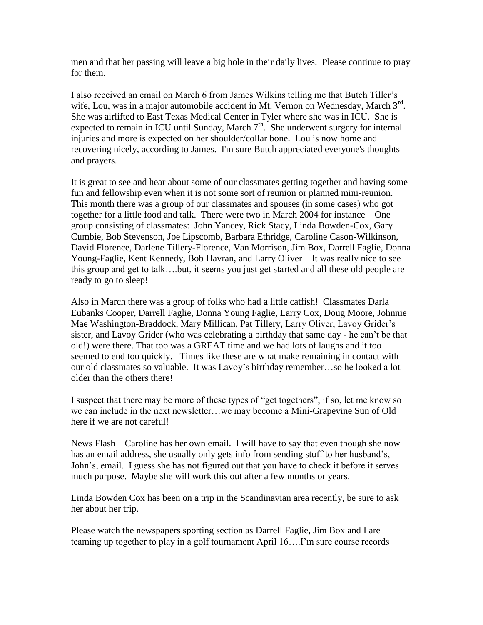men and that her passing will leave a big hole in their daily lives. Please continue to pray for them.

I also received an email on March 6 from James Wilkins telling me that Butch Tiller's wife, Lou, was in a major automobile accident in Mt. Vernon on Wednesday, March 3<sup>rd</sup>. She was airlifted to East Texas Medical Center in Tyler where she was in ICU. She is expected to remain in ICU until Sunday, March  $7<sup>th</sup>$ . She underwent surgery for internal injuries and more is expected on her shoulder/collar bone. Lou is now home and recovering nicely, according to James. I'm sure Butch appreciated everyone's thoughts and prayers.

It is great to see and hear about some of our classmates getting together and having some fun and fellowship even when it is not some sort of reunion or planned mini-reunion. This month there was a group of our classmates and spouses (in some cases) who got together for a little food and talk. There were two in March 2004 for instance – One group consisting of classmates: John Yancey, Rick Stacy, Linda Bowden-Cox, Gary Cumbie, Bob Stevenson, Joe Lipscomb, Barbara Ethridge, Caroline Cason-Wilkinson, David Florence, Darlene Tillery-Florence, Van Morrison, Jim Box, Darrell Faglie, Donna Young-Faglie, Kent Kennedy, Bob Havran, and Larry Oliver – It was really nice to see this group and get to talk….but, it seems you just get started and all these old people are ready to go to sleep!

Also in March there was a group of folks who had a little catfish! Classmates Darla Eubanks Cooper, Darrell Faglie, Donna Young Faglie, Larry Cox, Doug Moore, Johnnie Mae Washington-Braddock, Mary Millican, Pat Tillery, Larry Oliver, Lavoy Grider's sister, and Lavoy Grider (who was celebrating a birthday that same day - he can't be that old!) were there. That too was a GREAT time and we had lots of laughs and it too seemed to end too quickly. Times like these are what make remaining in contact with our old classmates so valuable. It was Lavoy's birthday remember…so he looked a lot older than the others there!

I suspect that there may be more of these types of "get togethers", if so, let me know so we can include in the next newsletter…we may become a Mini-Grapevine Sun of Old here if we are not careful!

News Flash – Caroline has her own email. I will have to say that even though she now has an email address, she usually only gets info from sending stuff to her husband's, John's, email. I guess she has not figured out that you have to check it before it serves much purpose. Maybe she will work this out after a few months or years.

Linda Bowden Cox has been on a trip in the Scandinavian area recently, be sure to ask her about her trip.

Please watch the newspapers sporting section as Darrell Faglie, Jim Box and I are teaming up together to play in a golf tournament April 16….I'm sure course records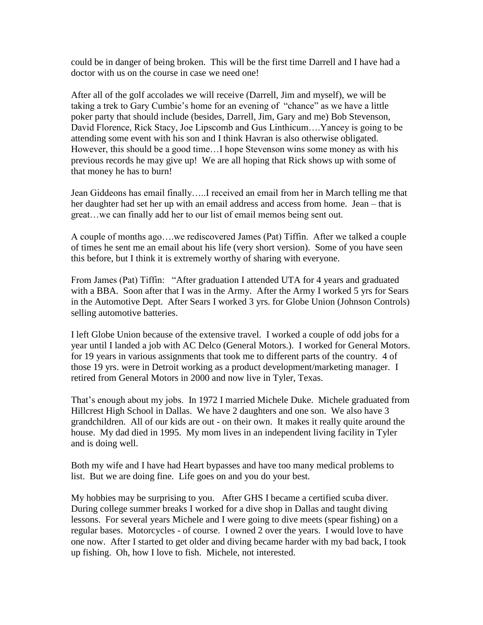could be in danger of being broken. This will be the first time Darrell and I have had a doctor with us on the course in case we need one!

After all of the golf accolades we will receive (Darrell, Jim and myself), we will be taking a trek to Gary Cumbie's home for an evening of "chance" as we have a little poker party that should include (besides, Darrell, Jim, Gary and me) Bob Stevenson, David Florence, Rick Stacy, Joe Lipscomb and Gus Linthicum….Yancey is going to be attending some event with his son and I think Havran is also otherwise obligated. However, this should be a good time…I hope Stevenson wins some money as with his previous records he may give up! We are all hoping that Rick shows up with some of that money he has to burn!

Jean Giddeons has email finally…..I received an email from her in March telling me that her daughter had set her up with an email address and access from home. Jean – that is great…we can finally add her to our list of email memos being sent out.

A couple of months ago….we rediscovered James (Pat) Tiffin. After we talked a couple of times he sent me an email about his life (very short version). Some of you have seen this before, but I think it is extremely worthy of sharing with everyone.

From James (Pat) Tiffin: "After graduation I attended UTA for 4 years and graduated with a BBA. Soon after that I was in the Army. After the Army I worked 5 yrs for Sears in the Automotive Dept. After Sears I worked 3 yrs. for Globe Union (Johnson Controls) selling automotive batteries.

I left Globe Union because of the extensive travel. I worked a couple of odd jobs for a year until I landed a job with AC Delco (General Motors.). I worked for General Motors. for 19 years in various assignments that took me to different parts of the country. 4 of those 19 yrs. were in Detroit working as a product development/marketing manager. I retired from General Motors in 2000 and now live in Tyler, Texas.

That's enough about my jobs. In 1972 I married Michele Duke. Michele graduated from Hillcrest High School in Dallas. We have 2 daughters and one son. We also have 3 grandchildren. All of our kids are out - on their own. It makes it really quite around the house. My dad died in 1995. My mom lives in an independent living facility in Tyler and is doing well.

Both my wife and I have had Heart bypasses and have too many medical problems to list. But we are doing fine. Life goes on and you do your best.

My hobbies may be surprising to you. After GHS I became a certified scuba diver. During college summer breaks I worked for a dive shop in Dallas and taught diving lessons. For several years Michele and I were going to dive meets (spear fishing) on a regular bases. Motorcycles - of course. I owned 2 over the years. I would love to have one now. After I started to get older and diving became harder with my bad back, I took up fishing. Oh, how I love to fish. Michele, not interested.